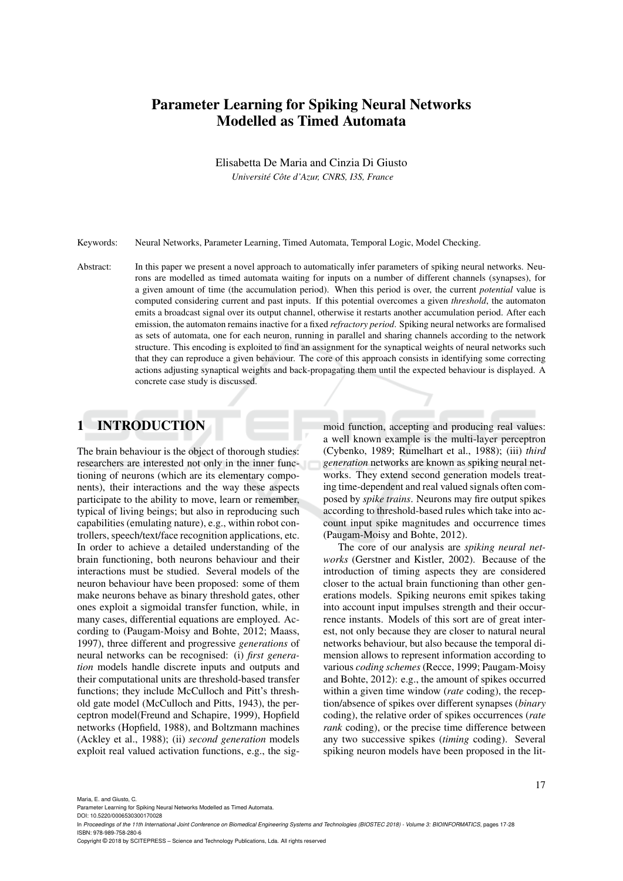# Parameter Learning for Spiking Neural Networks Modelled as Timed Automata

Elisabetta De Maria and Cinzia Di Giusto

*Universite C´ ote d'Azur, CNRS, I3S, France ˆ*

Keywords: Neural Networks, Parameter Learning, Timed Automata, Temporal Logic, Model Checking.

Abstract: In this paper we present a novel approach to automatically infer parameters of spiking neural networks. Neurons are modelled as timed automata waiting for inputs on a number of different channels (synapses), for a given amount of time (the accumulation period). When this period is over, the current *potential* value is computed considering current and past inputs. If this potential overcomes a given *threshold*, the automaton emits a broadcast signal over its output channel, otherwise it restarts another accumulation period. After each emission, the automaton remains inactive for a fixed *refractory period*. Spiking neural networks are formalised as sets of automata, one for each neuron, running in parallel and sharing channels according to the network structure. This encoding is exploited to find an assignment for the synaptical weights of neural networks such that they can reproduce a given behaviour. The core of this approach consists in identifying some correcting actions adjusting synaptical weights and back-propagating them until the expected behaviour is displayed. A concrete case study is discussed.

# 1 INTRODUCTION

The brain behaviour is the object of thorough studies: researchers are interested not only in the inner functioning of neurons (which are its elementary components), their interactions and the way these aspects participate to the ability to move, learn or remember, typical of living beings; but also in reproducing such capabilities (emulating nature), e.g., within robot controllers, speech/text/face recognition applications, etc. In order to achieve a detailed understanding of the brain functioning, both neurons behaviour and their interactions must be studied. Several models of the neuron behaviour have been proposed: some of them make neurons behave as binary threshold gates, other ones exploit a sigmoidal transfer function, while, in many cases, differential equations are employed. According to (Paugam-Moisy and Bohte, 2012; Maass, 1997), three different and progressive *generations* of neural networks can be recognised: (i) *first generation* models handle discrete inputs and outputs and their computational units are threshold-based transfer functions; they include McCulloch and Pitt's threshold gate model (McCulloch and Pitts, 1943), the perceptron model(Freund and Schapire, 1999), Hopfield networks (Hopfield, 1988), and Boltzmann machines (Ackley et al., 1988); (ii) *second generation* models exploit real valued activation functions, e.g., the sigmoid function, accepting and producing real values: a well known example is the multi-layer perceptron (Cybenko, 1989; Rumelhart et al., 1988); (iii) *third generation* networks are known as spiking neural networks. They extend second generation models treating time-dependent and real valued signals often composed by *spike trains*. Neurons may fire output spikes according to threshold-based rules which take into account input spike magnitudes and occurrence times (Paugam-Moisy and Bohte, 2012).

The core of our analysis are *spiking neural networks* (Gerstner and Kistler, 2002). Because of the introduction of timing aspects they are considered closer to the actual brain functioning than other generations models. Spiking neurons emit spikes taking into account input impulses strength and their occurrence instants. Models of this sort are of great interest, not only because they are closer to natural neural networks behaviour, but also because the temporal dimension allows to represent information according to various *coding schemes*(Recce, 1999; Paugam-Moisy and Bohte, 2012): e.g., the amount of spikes occurred within a given time window (*rate* coding), the reception/absence of spikes over different synapses (*binary* coding), the relative order of spikes occurrences (*rate rank* coding), or the precise time difference between any two successive spikes (*timing* coding). Several spiking neuron models have been proposed in the lit-

Maria, E. and Giusto, C.

DOI: 10.5220/0006530300170028

Copyright © 2018 by SCITEPRESS – Science and Technology Publications, Lda. All rights reserved

Parameter Learning for Spiking Neural Networks Modelled as Timed Automata.

In *Proceedings of the 11th International Joint Conference on Biomedical Engineering Systems and Technologies (BIOSTEC 2018) - Volume 3: BIOINFORMATICS*, pages 17-28 ISBN: 978-989-758-280-6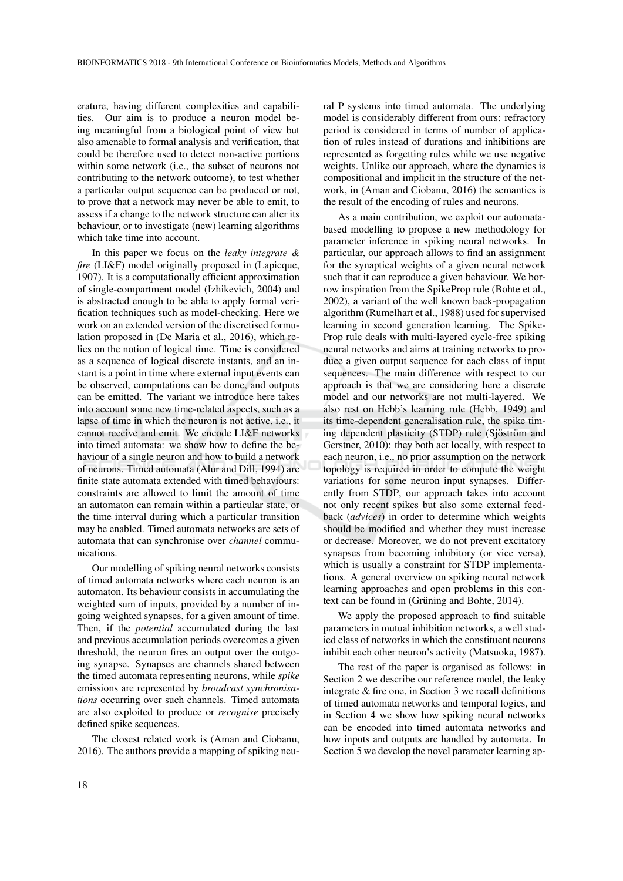erature, having different complexities and capabilities. Our aim is to produce a neuron model being meaningful from a biological point of view but also amenable to formal analysis and verification, that could be therefore used to detect non-active portions within some network (i.e., the subset of neurons not contributing to the network outcome), to test whether a particular output sequence can be produced or not, to prove that a network may never be able to emit, to assess if a change to the network structure can alter its behaviour, or to investigate (new) learning algorithms which take time into account.

In this paper we focus on the *leaky integrate & fire* (LI&F) model originally proposed in (Lapicque, 1907). It is a computationally efficient approximation of single-compartment model (Izhikevich, 2004) and is abstracted enough to be able to apply formal verification techniques such as model-checking. Here we work on an extended version of the discretised formulation proposed in (De Maria et al., 2016), which relies on the notion of logical time. Time is considered as a sequence of logical discrete instants, and an instant is a point in time where external input events can be observed, computations can be done, and outputs can be emitted. The variant we introduce here takes into account some new time-related aspects, such as a lapse of time in which the neuron is not active, i.e., it cannot receive and emit. We encode LI&F networks into timed automata: we show how to define the behaviour of a single neuron and how to build a network of neurons. Timed automata (Alur and Dill, 1994) are finite state automata extended with timed behaviours: constraints are allowed to limit the amount of time an automaton can remain within a particular state, or the time interval during which a particular transition may be enabled. Timed automata networks are sets of automata that can synchronise over *channel* communications.

Our modelling of spiking neural networks consists of timed automata networks where each neuron is an automaton. Its behaviour consists in accumulating the weighted sum of inputs, provided by a number of ingoing weighted synapses, for a given amount of time. Then, if the *potential* accumulated during the last and previous accumulation periods overcomes a given threshold, the neuron fires an output over the outgoing synapse. Synapses are channels shared between the timed automata representing neurons, while *spike* emissions are represented by *broadcast synchronisations* occurring over such channels. Timed automata are also exploited to produce or *recognise* precisely defined spike sequences.

The closest related work is (Aman and Ciobanu, 2016). The authors provide a mapping of spiking neural P systems into timed automata. The underlying model is considerably different from ours: refractory period is considered in terms of number of application of rules instead of durations and inhibitions are represented as forgetting rules while we use negative weights. Unlike our approach, where the dynamics is compositional and implicit in the structure of the network, in (Aman and Ciobanu, 2016) the semantics is the result of the encoding of rules and neurons.

As a main contribution, we exploit our automatabased modelling to propose a new methodology for parameter inference in spiking neural networks. In particular, our approach allows to find an assignment for the synaptical weights of a given neural network such that it can reproduce a given behaviour. We borrow inspiration from the SpikeProp rule (Bohte et al., 2002), a variant of the well known back-propagation algorithm (Rumelhart et al., 1988) used for supervised learning in second generation learning. The Spike-Prop rule deals with multi-layered cycle-free spiking neural networks and aims at training networks to produce a given output sequence for each class of input sequences. The main difference with respect to our approach is that we are considering here a discrete model and our networks are not multi-layered. We also rest on Hebb's learning rule (Hebb, 1949) and its time-dependent generalisation rule, the spike timing dependent plasticity (STDP) rule (Sjöström and Gerstner, 2010): they both act locally, with respect to each neuron, i.e., no prior assumption on the network topology is required in order to compute the weight variations for some neuron input synapses. Differently from STDP, our approach takes into account not only recent spikes but also some external feedback (*advices*) in order to determine which weights should be modified and whether they must increase or decrease. Moreover, we do not prevent excitatory synapses from becoming inhibitory (or vice versa), which is usually a constraint for STDP implementations. A general overview on spiking neural network learning approaches and open problems in this context can be found in (Grüning and Bohte, 2014).

We apply the proposed approach to find suitable parameters in mutual inhibition networks, a well studied class of networks in which the constituent neurons inhibit each other neuron's activity (Matsuoka, 1987).

The rest of the paper is organised as follows: in Section 2 we describe our reference model, the leaky integrate & fire one, in Section 3 we recall definitions of timed automata networks and temporal logics, and in Section 4 we show how spiking neural networks can be encoded into timed automata networks and how inputs and outputs are handled by automata. In Section 5 we develop the novel parameter learning ap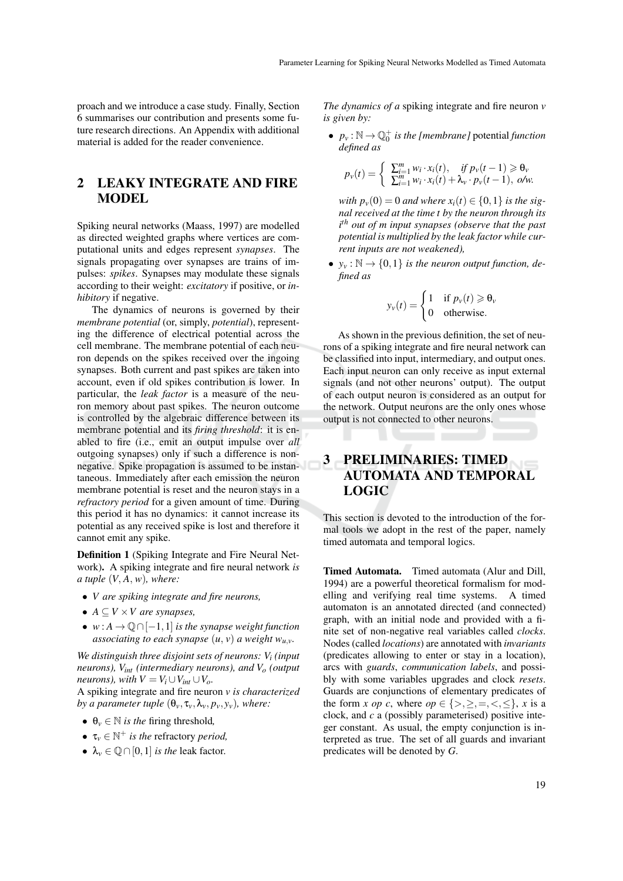proach and we introduce a case study. Finally, Section 6 summarises our contribution and presents some future research directions. An Appendix with additional material is added for the reader convenience.

## 2 LEAKY INTEGRATE AND FIRE MODEL

Spiking neural networks (Maass, 1997) are modelled as directed weighted graphs where vertices are computational units and edges represent *synapses*. The signals propagating over synapses are trains of impulses: *spikes*. Synapses may modulate these signals according to their weight: *excitatory* if positive, or *inhibitory* if negative.

The dynamics of neurons is governed by their *membrane potential* (or, simply, *potential*), representing the difference of electrical potential across the cell membrane. The membrane potential of each neuron depends on the spikes received over the ingoing synapses. Both current and past spikes are taken into account, even if old spikes contribution is lower. In particular, the *leak factor* is a measure of the neuron memory about past spikes. The neuron outcome is controlled by the algebraic difference between its membrane potential and its *firing threshold*: it is enabled to fire (i.e., emit an output impulse over *all* outgoing synapses) only if such a difference is nonnegative. Spike propagation is assumed to be instantaneous. Immediately after each emission the neuron membrane potential is reset and the neuron stays in a *refractory period* for a given amount of time. During this period it has no dynamics: it cannot increase its potential as any received spike is lost and therefore it cannot emit any spike.

Definition 1 (Spiking Integrate and Fire Neural Network). A spiking integrate and fire neural network *is a tuple* (*V*, *A*, *w*)*, where:*

- *V are spiking integrate and fire neurons,*
- $A \subseteq V \times V$  are synapses,
- *w* : *A* → Q∩[−1,1] *is the synapse weight function associating to each synapse*  $(u, v)$  *a weight*  $w_u$ <sup>*y*</sup>.

*We distinguish three disjoint sets of neurons: V<sup>i</sup> (input neurons), Vint (intermediary neurons), and V<sup>o</sup> (output neurons*), *with*  $V = V_i \cup V_{int} \cup V_o$ .

A spiking integrate and fire neuron *v is characterized by a parameter tuple*  $(\theta_v, \tau_v, \lambda_v, p_v, y_v)$ *, where:* 

- $\theta_v \in \mathbb{N}$  *is the* firing threshold,
- $\tau_v \in \mathbb{N}^+$  *is the refractory period,*
- $\lambda_v \in \mathbb{Q} \cap [0,1]$  *is the* leak factor.

*The dynamics of a* spiking integrate and fire neuron *v is given by:*

•  $p_v : \mathbb{N} \to \mathbb{Q}_0^+$  *is the [membrane]* potential *function defined as*

$$
p_{\nu}(t) = \begin{cases} \sum_{i=1}^{m} w_i \cdot x_i(t), & \text{if } p_{\nu}(t-1) \geq \theta_{\nu} \\ \sum_{i=1}^{m} w_i \cdot x_i(t) + \lambda_{\nu} \cdot p_{\nu}(t-1), & \text{if } \theta_{\nu} \end{cases}
$$

*with*  $p_v(0) = 0$  *and where*  $x_i(t) \in \{0, 1\}$  *is the signal received at the time t by the neuron through its i th out of m input synapses (observe that the past potential is multiplied by the leak factor while current inputs are not weakened),*

•  $y_v : \mathbb{N} \to \{0,1\}$  *is the neuron output function, defined as*

$$
y_{\nu}(t) = \begin{cases} 1 & \text{if } p_{\nu}(t) \geq \theta_{\nu} \\ 0 & \text{otherwise.} \end{cases}
$$

As shown in the previous definition, the set of neurons of a spiking integrate and fire neural network can be classified into input, intermediary, and output ones. Each input neuron can only receive as input external signals (and not other neurons' output). The output of each output neuron is considered as an output for the network. Output neurons are the only ones whose output is not connected to other neurons.

# 3 PRELIMINARIES: TIMED AUTOMATA AND TEMPORAL LOGIC

This section is devoted to the introduction of the formal tools we adopt in the rest of the paper, namely timed automata and temporal logics.

Timed Automata. Timed automata (Alur and Dill, 1994) are a powerful theoretical formalism for modelling and verifying real time systems. A timed automaton is an annotated directed (and connected) graph, with an initial node and provided with a finite set of non-negative real variables called *clocks*. Nodes (called *locations*) are annotated with *invariants* (predicates allowing to enter or stay in a location), arcs with *guards*, *communication labels*, and possibly with some variables upgrades and clock *resets*. Guards are conjunctions of elementary predicates of the form *x op c*, where  $op \in \{>, \geq, =, <, \leq\}$ , *x* is a clock, and *c* a (possibly parameterised) positive integer constant. As usual, the empty conjunction is interpreted as true. The set of all guards and invariant predicates will be denoted by *G*.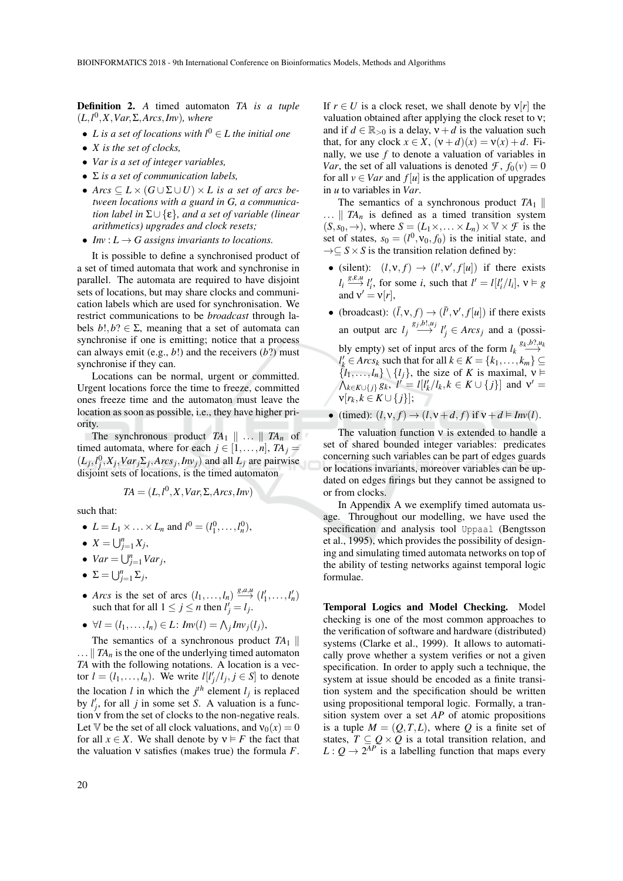Definition 2. *A* timed automaton *TA is a tuple*  $(L, l^0, X, Var, \Sigma, Arcs, Inv)$ *, where* 

- *L* is a set of locations with  $l^0 \in L$  the initial one
- *X is the set of clocks,*
- *Var is a set of integer variables,*
- Σ *is a set of communication labels,*
- $Arcs \subseteq L \times (G \cup \Sigma \cup U) \times L$  is a set of arcs be*tween locations with a guard in G, a communication label in* Σ∪ {ε}*, and a set of variable (linear arithmetics) upgrades and clock resets;*
- $Inv: L \to G$  assigns invariants to locations.

It is possible to define a synchronised product of a set of timed automata that work and synchronise in parallel. The automata are required to have disjoint sets of locations, but may share clocks and communication labels which are used for synchronisation. We restrict communications to be *broadcast* through labels  $b!/b$ ,  $b? \in \Sigma$ , meaning that a set of automata can synchronise if one is emitting; notice that a process can always emit (e.g., *b*!) and the receivers (*b*?) must synchronise if they can.

Locations can be normal, urgent or committed. Urgent locations force the time to freeze, committed ones freeze time and the automaton must leave the location as soon as possible, i.e., they have higher priority.

The synchronous product  $TA_1 \parallel ... \parallel TA_n$  of timed automata, where for each  $j \in [1, \ldots, n]$ ,  $TA_j =$  $(L_j, l_j^0, X_j, Var_j\Sigma_j, Arcs_j, Inv_j)$  and all  $L_j$  are pairwise disjoint sets of locations, is the timed automaton

$$
TA = (L, l^0, X, Var, \Sigma, Arcs, Inv)
$$

such that:

- $L = L_1 \times ... \times L_n$  and  $l^0 = (l_1^0, ..., l_n^0)$ ,
- $X = \bigcup_{j=1}^{n} X_j$ ,
- $Var = \bigcup_{j=1}^{n} Var_j$
- $\Sigma = \bigcup_{j=1}^n \Sigma_j$ ,
- *Arcs* is the set of arcs  $(l_1, \ldots, l_n) \xrightarrow{g, a, u} (l'_1, \ldots, l'_n)$ such that for all  $1 \le j \le n$  then  $l'_j = l_j$ .
- $\blacklozenge$  ∀*l* =  $(l_1, ..., l_n) \in L$ : *Inv*(*l*) =  $\bigwedge_j Inv_j(l_j)$ ,

The semantics of a synchronous product  $TA_1$  ||  $\ldots$  *TA*<sub>*n*</sub> is the one of the underlying timed automaton *TA* with the following notations. A location is a vector  $l = (l_1, \ldots, l_n)$ . We write  $l[l'_j/l_j, j \in S]$  to denote the location *l* in which the  $j<sup>th</sup>$  element  $l_j$  is replaced by  $l'_j$ , for all *j* in some set *S*. A valuation is a function ν from the set of clocks to the non-negative reals. Let V be the set of all clock valuations, and  $v_0(x) = 0$ for all  $x \in X$ . We shall denote by  $v \models F$  the fact that the valuation ν satisfies (makes true) the formula *F*.

If  $r \in U$  is a clock reset, we shall denote by  $v[r]$  the valuation obtained after applying the clock reset to ν; and if  $d \in \mathbb{R}_{>0}$  is a delay,  $v + d$  is the valuation such that, for any clock  $x \in X$ ,  $(v+d)(x) = v(x) + d$ . Finally, we use *f* to denote a valuation of variables in *Var*, the set of all valuations is denoted  $\mathcal{F}$ ,  $f_0(v) = 0$ for all  $v \in Var$  and  $f[u]$  is the application of upgrades in *u* to variables in *Var*.

The semantics of a synchronous product  $TA_1$  ||  $\ldots$  *TA*<sup>*n*</sup> is defined as a timed transition system  $(S, s_0, \rightarrow)$ , where  $S = (L_1 \times, \dots \times L_n) \times \mathbb{V} \times \mathcal{F}$  is the set of states,  $s_0 = (l^0, v_0, f_0)$  is the initial state, and →⊆ *S*×*S* is the transition relation defined by:

- (silent):  $(l, v, f) \rightarrow (l', v', f[u])$  if there exists  $l_i \xrightarrow{g,\varepsilon,u} l'_i$ , for some *i*, such that  $l' = l[l'_i/l_i], v \vDash g$ and  $v' = v[r]$ ,
- (broadcast):  $(\bar{l}, v, f) \rightarrow (\bar{l'}, v', f[u])$  if there exists an output arc  $l_j \stackrel{g_j, b^i, u_j}{\longrightarrow} l'_j \in Arcs_j$  and a (possibly empty) set of input arcs of the form  $l_k \stackrel{g_k, b? , u_k}{\longrightarrow}$  $l'_{k} \in Arcs_{k}$  such that for all  $k \in K = \{k_1, \ldots, k_m\} \subseteq$  $\{l_1, \ldots, l_n\} \setminus \{l_j\}$ , the size of *K* is maximal,  $v \models$  $\bigwedge_{k \in K \cup \{j\}} g_k, \ l' = l[l'_k/l_k, k \in K \cup \{j\}]$  and  $v' =$  $v[r_k, k \in K \cup \{j\}];$
- (timed):  $(l, v, f) \rightarrow (l, v + d, f)$  if  $v + d \models Inv(l)$ .

The valuation function  $v$  is extended to handle a set of shared bounded integer variables: predicates concerning such variables can be part of edges guards or locations invariants, moreover variables can be updated on edges firings but they cannot be assigned to or from clocks.

In Appendix A we exemplify timed automata usage. Throughout our modelling, we have used the specification and analysis tool Uppaal (Bengtsson et al., 1995), which provides the possibility of designing and simulating timed automata networks on top of the ability of testing networks against temporal logic formulae.

Temporal Logics and Model Checking. Model checking is one of the most common approaches to the verification of software and hardware (distributed) systems (Clarke et al., 1999). It allows to automatically prove whether a system verifies or not a given specification. In order to apply such a technique, the system at issue should be encoded as a finite transition system and the specification should be written using propositional temporal logic. Formally, a transition system over a set *AP* of atomic propositions is a tuple  $M = (Q, T, L)$ , where Q is a finite set of states,  $T \subseteq Q \times Q$  is a total transition relation, and  $L: Q \to 2^{AP}$  is a labelling function that maps every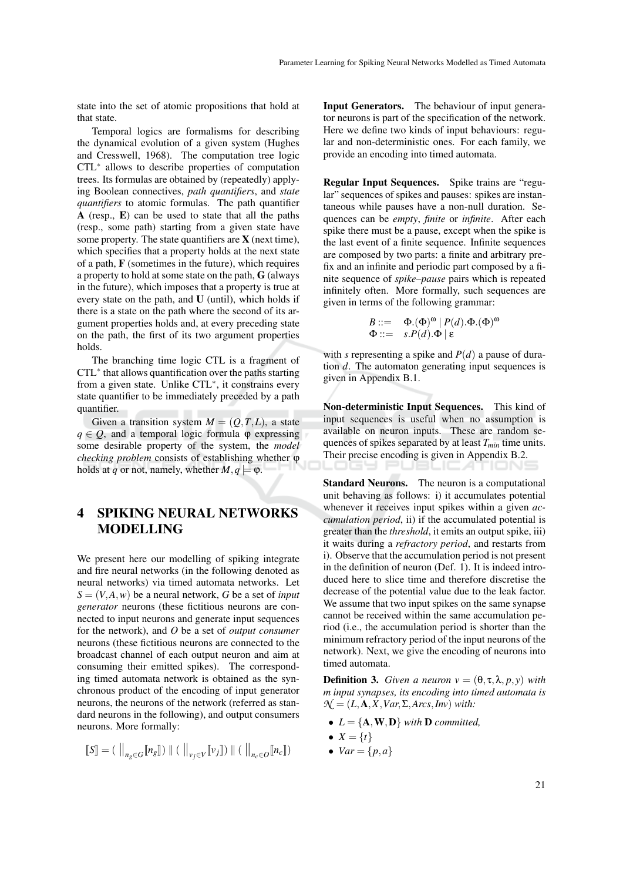state into the set of atomic propositions that hold at that state.

Temporal logics are formalisms for describing the dynamical evolution of a given system (Hughes and Cresswell, 1968). The computation tree logic CTL∗ allows to describe properties of computation trees. Its formulas are obtained by (repeatedly) applying Boolean connectives, *path quantifiers*, and *state quantifiers* to atomic formulas. The path quantifier A (resp., E) can be used to state that all the paths (resp., some path) starting from a given state have some property. The state quantifiers are  $X$  (next time), which specifies that a property holds at the next state of a path, F (sometimes in the future), which requires a property to hold at some state on the path, G (always in the future), which imposes that a property is true at every state on the path, and U (until), which holds if there is a state on the path where the second of its argument properties holds and, at every preceding state on the path, the first of its two argument properties holds.

The branching time logic CTL is a fragment of CTL∗ that allows quantification over the paths starting from a given state. Unlike CTL<sup>\*</sup>, it constrains every state quantifier to be immediately preceded by a path quantifier.

Given a transition system  $M = (Q, T, L)$ , a state  $q \in Q$ , and a temporal logic formula  $\varphi$  expressing some desirable property of the system, the *model checking problem* consists of establishing whether **φ** holds at *q* or not, namely, whether  $M, q \models \varphi$ .

## 4 SPIKING NEURAL NETWORKS MODELLING

We present here our modelling of spiking integrate and fire neural networks (in the following denoted as neural networks) via timed automata networks. Let  $S = (V, A, w)$  be a neural network, *G* be a set of *input generator* neurons (these fictitious neurons are connected to input neurons and generate input sequences for the network), and *O* be a set of *output consumer* neurons (these fictitious neurons are connected to the broadcast channel of each output neuron and aim at consuming their emitted spikes). The corresponding timed automata network is obtained as the synchronous product of the encoding of input generator neurons, the neurons of the network (referred as standard neurons in the following), and output consumers neurons. More formally:

$$
\llbracket S \rrbracket = (\, \|_{n_g \in G} [n_g]) \, \| \, (\, \|_{v_j \in V} [v_j]) \, \| \, (\, \|_{n_c \in O} [n_c])
$$

Input Generators. The behaviour of input generator neurons is part of the specification of the network. Here we define two kinds of input behaviours: regular and non-deterministic ones. For each family, we provide an encoding into timed automata.

Regular Input Sequences. Spike trains are "regular" sequences of spikes and pauses: spikes are instantaneous while pauses have a non-null duration. Sequences can be *empty*, *finite* or *infinite*. After each spike there must be a pause, except when the spike is the last event of a finite sequence. Infinite sequences are composed by two parts: a finite and arbitrary prefix and an infinite and periodic part composed by a finite sequence of *spike–pause* pairs which is repeated infinitely often. More formally, such sequences are given in terms of the following grammar:

$$
B ::= \Phi.(\Phi)^{\omega} | P(d) . \Phi.(\Phi)^{\omega}
$$
  

$$
\Phi ::= s.P(d) . \Phi | \varepsilon
$$

with *s* representing a spike and *P*(*d*) a pause of duration *d*. The automaton generating input sequences is given in Appendix B.1.

Non-deterministic Input Sequences. This kind of input sequences is useful when no assumption is available on neuron inputs. These are random sequences of spikes separated by at least *Tmin* time units. Their precise encoding is given in Appendix B.2.

Standard Neurons. The neuron is a computational unit behaving as follows: i) it accumulates potential whenever it receives input spikes within a given *accumulation period*, ii) if the accumulated potential is greater than the *threshold*, it emits an output spike, iii) it waits during a *refractory period*, and restarts from i). Observe that the accumulation period is not present in the definition of neuron (Def. 1). It is indeed introduced here to slice time and therefore discretise the decrease of the potential value due to the leak factor. We assume that two input spikes on the same synapse cannot be received within the same accumulation period (i.e., the accumulation period is shorter than the minimum refractory period of the input neurons of the network). Next, we give the encoding of neurons into timed automata.

**Definition 3.** *Given a neuron*  $v = (\theta, \tau, \lambda, p, y)$  *with m input synapses, its encoding into timed automata is*  $\mathcal{N} = (L, \mathbf{A}, X, Var, \Sigma, Arcs, Inv)$  *with:* 

- $L = \{A, W, D\}$  *with* **D** *committed,*
- $X = \{t\}$
- $Var = \{p, a\}$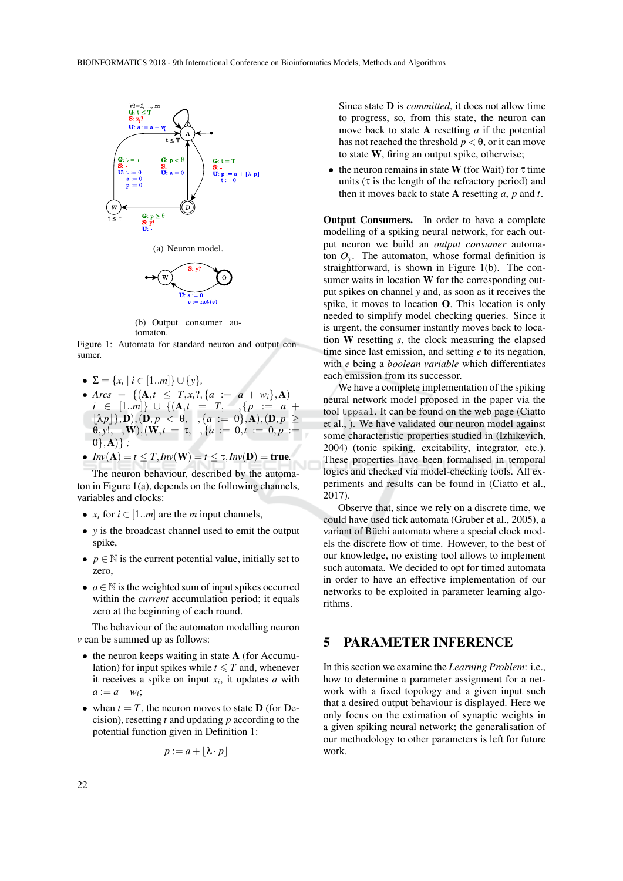

(a) Neuron model.



(b) Output consumer automaton.

Figure 1: Automata for standard neuron and output consumer.

- $\bullet$   $\Sigma = \{x_i \mid i \in [1..m]\} \cup \{y\},\$
- *Arcs* = { $(A, t \leq T, x_i$ ?, { $a := a + w_i$ }, **A**) |  $i \in [1..m] \} \cup \{(A, t = T, \dots, \{p := a + x_i\})$ *i* ∈  $[1..m]$ } ∪ { $(A, t = T,$  $\lfloor \lambda p \rfloor$ ,D),(D,p <  $\theta$ , , $\{a := 0\}$ ,A),(D,p ≥ θ, *y*!, –, **W**), (**W**, *t* = τ, , {*a* := 0,*t* := 0, *p* :=  $0$ , A)  $\}$  *:*
- $Inv(A) = t \leq T, Inv(W) = t \leq \tau, Inv(D) = true.$

The neuron behaviour, described by the automaton in Figure 1(a), depends on the following channels, variables and clocks:

- $x_i$  for  $i \in [1..m]$  are the *m* input channels,
- *y* is the broadcast channel used to emit the output spike,
- $p \in \mathbb{N}$  is the current potential value, initially set to zero,
- $a \in \mathbb{N}$  is the weighted sum of input spikes occurred within the *current* accumulation period; it equals zero at the beginning of each round.

The behaviour of the automaton modelling neuron *v* can be summed up as follows:

- the neuron keeps waiting in state A (for Accumulation) for input spikes while  $t \leq T$  and, whenever it receives a spike on input *x<sup>i</sup>* , it updates *a* with  $a := a + w_i;$
- when  $t = T$ , the neuron moves to state **D** (for Decision), resetting *t* and updating *p* according to the potential function given in Definition 1:

$$
p:=a+\lfloor\lambda\cdot p\rfloor
$$

Since state D is *committed*, it does not allow time to progress, so, from this state, the neuron can move back to state A resetting *a* if the potential has not reached the threshold  $p < \theta$ , or it can move to state W, firing an output spike, otherwise;

• the neuron remains in state W (for Wait) for  $\tau$  time units ( $\tau$  is the length of the refractory period) and then it moves back to state A resetting *a*, *p* and *t*.

Output Consumers. In order to have a complete modelling of a spiking neural network, for each output neuron we build an *output consumer* automaton  $O_y$ . The automaton, whose formal definition is straightforward, is shown in Figure 1(b). The consumer waits in location W for the corresponding output spikes on channel *y* and, as soon as it receives the spike, it moves to location O. This location is only needed to simplify model checking queries. Since it is urgent, the consumer instantly moves back to location W resetting *s*, the clock measuring the elapsed time since last emission, and setting *e* to its negation, with *e* being a *boolean variable* which differentiates each emission from its successor.

We have a complete implementation of the spiking neural network model proposed in the paper via the tool Uppaal. It can be found on the web page (Ciatto et al., ). We have validated our neuron model against some characteristic properties studied in (Izhikevich, 2004) (tonic spiking, excitability, integrator, etc.). These properties have been formalised in temporal logics and checked via model-checking tools. All experiments and results can be found in (Ciatto et al., 2017).

Observe that, since we rely on a discrete time, we could have used tick automata (Gruber et al., 2005), a variant of Büchi automata where a special clock models the discrete flow of time. However, to the best of our knowledge, no existing tool allows to implement such automata. We decided to opt for timed automata in order to have an effective implementation of our networks to be exploited in parameter learning algorithms.

### 5 PARAMETER INFERENCE

In this section we examine the *Learning Problem*: i.e., how to determine a parameter assignment for a network with a fixed topology and a given input such that a desired output behaviour is displayed. Here we only focus on the estimation of synaptic weights in a given spiking neural network; the generalisation of our methodology to other parameters is left for future work.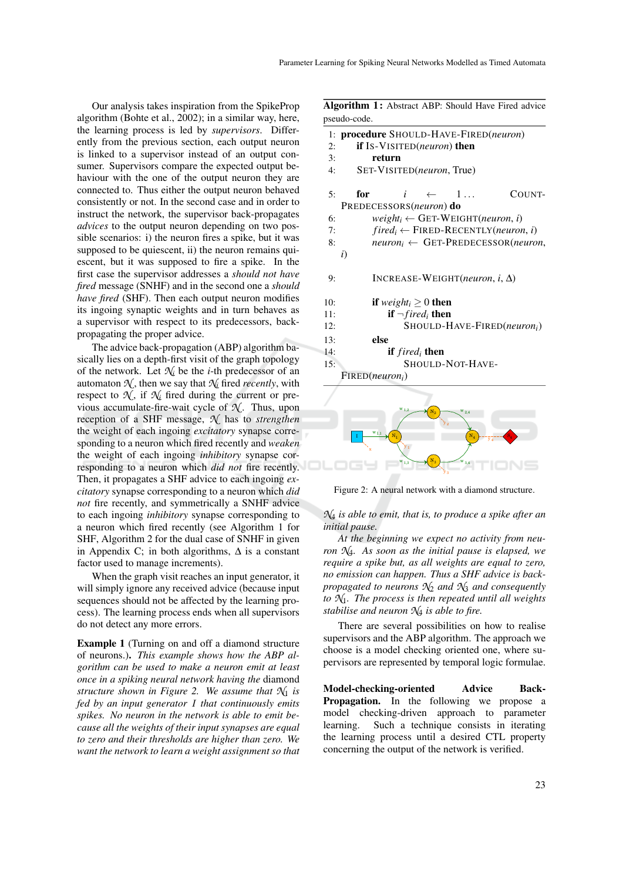Our analysis takes inspiration from the SpikeProp algorithm (Bohte et al., 2002); in a similar way, here, the learning process is led by *supervisors*. Differently from the previous section, each output neuron is linked to a supervisor instead of an output consumer. Supervisors compare the expected output behaviour with the one of the output neuron they are connected to. Thus either the output neuron behaved consistently or not. In the second case and in order to instruct the network, the supervisor back-propagates *advices* to the output neuron depending on two possible scenarios: i) the neuron fires a spike, but it was supposed to be quiescent, ii) the neuron remains quiescent, but it was supposed to fire a spike. In the first case the supervisor addresses a *should not have fired* message (SNHF) and in the second one a *should have fired* (SHF). Then each output neuron modifies its ingoing synaptic weights and in turn behaves as a supervisor with respect to its predecessors, backpropagating the proper advice.

The advice back-propagation (ABP) algorithm basically lies on a depth-first visit of the graph topology of the network. Let  $\mathcal{N}_i$  be the *i*-th predecessor of an automaton  $\mathcal{N}_1$ , then we say that  $\mathcal{N}_i$  fired *recently*, with respect to  $\mathcal{N}_i$ , if  $\mathcal{N}_i$  fired during the current or previous accumulate-fire-wait cycle of  $N$ . Thus, upon reception of a SHF message, *N* has to *strengthen* the weight of each ingoing *excitatory* synapse corresponding to a neuron which fired recently and *weaken* the weight of each ingoing *inhibitory* synapse corresponding to a neuron which *did not* fire recently. Then, it propagates a SHF advice to each ingoing *excitatory* synapse corresponding to a neuron which *did not* fire recently, and symmetrically a SNHF advice to each ingoing *inhibitory* synapse corresponding to a neuron which fired recently (see Algorithm 1 for SHF, Algorithm 2 for the dual case of SNHF in given in Appendix C; in both algorithms,  $\Delta$  is a constant factor used to manage increments).

When the graph visit reaches an input generator, it will simply ignore any received advice (because input sequences should not be affected by the learning process). The learning process ends when all supervisors do not detect any more errors.

Example 1 (Turning on and off a diamond structure of neurons.). *This example shows how the ABP algorithm can be used to make a neuron emit at least once in a spiking neural network having the* diamond *structure shown in Figure 2. We assume that*  $\mathcal{N}_1$  *is fed by an input generator I that continuously emits spikes. No neuron in the network is able to emit because all the weights of their input synapses are equal to zero and their thresholds are higher than zero. We want the network to learn a weight assignment so that*

Algorithm 1: Abstract ABP: Should Have Fired advice pseudo-code.

|     | 1: procedure SHOULD-HAVE-FIRED(neuron)         |           |                   |                                       |                                         |
|-----|------------------------------------------------|-----------|-------------------|---------------------------------------|-----------------------------------------|
| 2:  | if Is-VISITED(neuron) then                     |           |                   |                                       |                                         |
| 3:  | return                                         |           |                   |                                       |                                         |
| 4:  | SET-VISITED(neuron, True)                      |           |                   |                                       |                                         |
| 5:  | for                                            | i         | $\leftarrow$      | $1 \ldots$                            | COUNT-                                  |
|     | PREDECESSORS(neuron) do                        |           |                   |                                       |                                         |
| 6:  | $weight_i \leftarrow$ GET-WEIGHT(neuron, i)    |           |                   |                                       |                                         |
| 7:  | $fired_i \leftarrow$ FIRED-RECENTLY(neuron, i) |           |                   |                                       |                                         |
| 8:  | $neuron_i \leftarrow$ GET-PREDECESSOR(neuron,  |           |                   |                                       |                                         |
|     | $\ddot{\iota})$                                |           |                   |                                       |                                         |
| 9:  |                                                |           |                   | INCREASE-WEIGHT(neuron, i, $\Delta$ ) |                                         |
| 10: | if weight <sub>i</sub> $\geq$ 0 then           |           |                   |                                       |                                         |
| 11: | if $\neg fixed_i$ then                         |           |                   |                                       |                                         |
| 12: |                                                |           |                   |                                       | SHOULD-HAVE-FIRED(neuron <sub>i</sub> ) |
| 13: | else                                           |           |                   |                                       |                                         |
| 14: |                                                |           | if $fired_i$ then |                                       |                                         |
| 15: |                                                |           |                   | SHOULD-NOT-HAVE-                      |                                         |
|     | $F$ IRED( <i>neuron</i> <sub>i</sub> )         |           |                   |                                       |                                         |
|     |                                                |           |                   |                                       |                                         |
|     |                                                | $W_{1,2}$ |                   | $^{\prime\prime}$ 2.4                 |                                         |
|     |                                                |           |                   |                                       |                                         |
|     | N,                                             |           |                   | $\overline{\mathbf{N}}_A$             |                                         |

Figure 2: A neural network with a diamond structure.

 $\rm N_3$ 

 $\mathbf{x}$   $\mathbf{y}_1$ 

 $w_{1,3} \longrightarrow w_{3,4} \longrightarrow w_{3,4}$ 

 $\mathbf{\hat{y}}_{3}$ 

*N*<sup>4</sup> *is able to emit, that is, to produce a spike after an initial pause.*

*At the beginning we expect no activity from neuron N*4*. As soon as the initial pause is elapsed, we require a spike but, as all weights are equal to zero, no emission can happen. Thus a SHF advice is backpropagated to neurons*  $\mathcal{N}_2$  *and*  $\mathcal{N}_3$  *and consequently to N*1*. The process is then repeated until all weights stabilise and neuron N*<sup>4</sup> *is able to fire.*

There are several possibilities on how to realise supervisors and the ABP algorithm. The approach we choose is a model checking oriented one, where supervisors are represented by temporal logic formulae.

Model-checking-oriented Advice Back-Propagation. In the following we propose a model checking-driven approach to parameter learning. Such a technique consists in iterating the learning process until a desired CTL property concerning the output of the network is verified.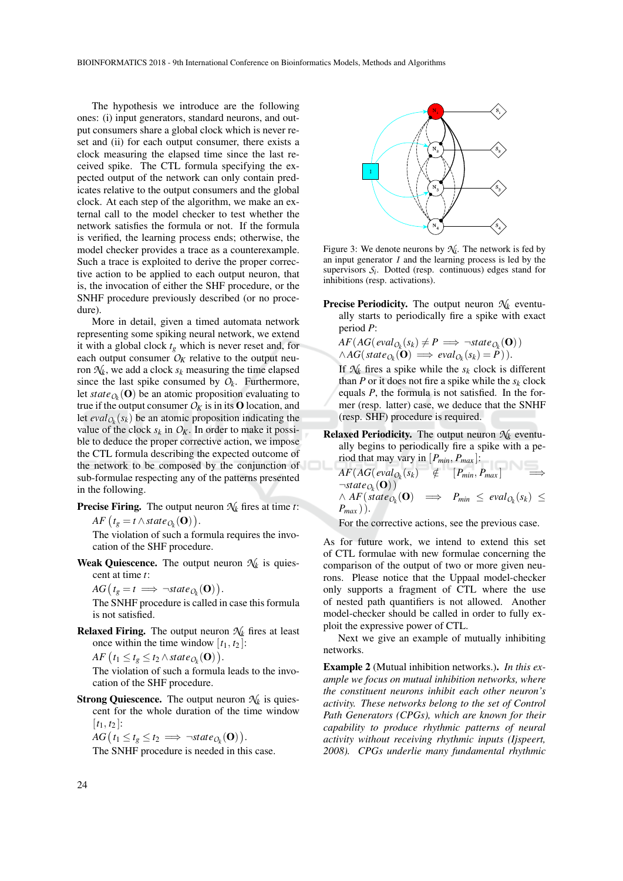The hypothesis we introduce are the following ones: (i) input generators, standard neurons, and output consumers share a global clock which is never reset and (ii) for each output consumer, there exists a clock measuring the elapsed time since the last received spike. The CTL formula specifying the expected output of the network can only contain predicates relative to the output consumers and the global clock. At each step of the algorithm, we make an external call to the model checker to test whether the network satisfies the formula or not. If the formula is verified, the learning process ends; otherwise, the model checker provides a trace as a counterexample. Such a trace is exploited to derive the proper corrective action to be applied to each output neuron, that is, the invocation of either the SHF procedure, or the SNHF procedure previously described (or no procedure).

More in detail, given a timed automata network representing some spiking neural network, we extend it with a global clock *t<sup>g</sup>* which is never reset and, for each output consumer  $O_K$  relative to the output neuron  $N_k$ , we add a clock  $s_k$  measuring the time elapsed since the last spike consumed by  $O_k$ . Furthermore, let *state* $_{O_k}$ (O) be an atomic proposition evaluating to true if the output consumer  $O_K$  is in its **O** location, and let  $eval<sub>O<sub>k</sub></sub>(s<sub>k</sub>)$  be an atomic proposition indicating the value of the clock  $s_k$  in  $O_K$ . In order to make it possible to deduce the proper corrective action, we impose the CTL formula describing the expected outcome of the network to be composed by the conjunction of sub-formulae respecting any of the patterns presented in the following.

**Precise Firing.** The output neuron  $N_k$  fires at time *t*:  $AF(t_g = t \land state_{O_k}(\mathbf{O})).$ 

The violation of such a formula requires the invocation of the SHF procedure.

- **Weak Quiescence.** The output neuron  $N_k$  is quiescent at time *t*:
	- $AG(t_g = t \implies \neg state_{O_k}(\mathbf{O}))$ .

The SNHF procedure is called in case this formula is not satisfied.

**Relaxed Firing.** The output neuron  $N_k$  fires at least once within the time window  $[t_1, t_2]$ :

 $AF(t_1 \leq t_g \leq t_2 \land state_{O_k}(\mathbf{O})).$ 

The violation of such a formula leads to the invocation of the SHF procedure.

**Strong Quiescence.** The output neuron  $\mathcal{N}_k$  is quiescent for the whole duration of the time window  $[t_1, t_2]$ :

 $AG(t_1 \leq t_g \leq t_2 \implies \neg state_{O_k}(\mathbf{O})).$ 

The SNHF procedure is needed in this case.



Figure 3: We denote neurons by  $N_i$ . The network is fed by an input generator *I* and the learning process is led by the supervisors  $S_i$ . Dotted (resp. continuous) edges stand for inhibitions (resp. activations).

**Precise Periodicity.** The output neuron  $N_k$  eventually starts to periodically fire a spike with exact period *P*:

$$
AF(AG(evalOk(sk) \neq P \implies \neg stateOk(O)) \land AG(stateOk(0) \implies evalOk(sk) = P)).
$$

If  $N_k$  fires a spike while the  $s_k$  clock is different than *P* or it does not fire a spike while the  $s_k$  clock equals *P*, the formula is not satisfied. In the former (resp. latter) case, we deduce that the SNHF (resp. SHF) procedure is required.

**Relaxed Periodicity.** The output neuron  $N_k$  eventually begins to periodically fire a spike with a period that may vary in [*Pmin*, *Pmax* ]:

$$
AF(AG(eval0k(sk) \notin [Pmin, Pmax]max)
$$
  
\n
$$
\rightarrow
$$
  
\n
$$
\rightarrow
$$
  
\n
$$
\land AF(state0k(0) \implies Pmin \le eval0k(sk) \le Pmax).
$$

For the corrective actions, see the previous case.

As for future work, we intend to extend this set of CTL formulae with new formulae concerning the comparison of the output of two or more given neurons. Please notice that the Uppaal model-checker only supports a fragment of CTL where the use of nested path quantifiers is not allowed. Another model-checker should be called in order to fully exploit the expressive power of CTL.

Next we give an example of mutually inhibiting networks.

Example 2 (Mutual inhibition networks.). *In this example we focus on mutual inhibition networks, where the constituent neurons inhibit each other neuron's activity. These networks belong to the set of Control Path Generators (CPGs), which are known for their capability to produce rhythmic patterns of neural activity without receiving rhythmic inputs (Ijspeert, 2008). CPGs underlie many fundamental rhythmic*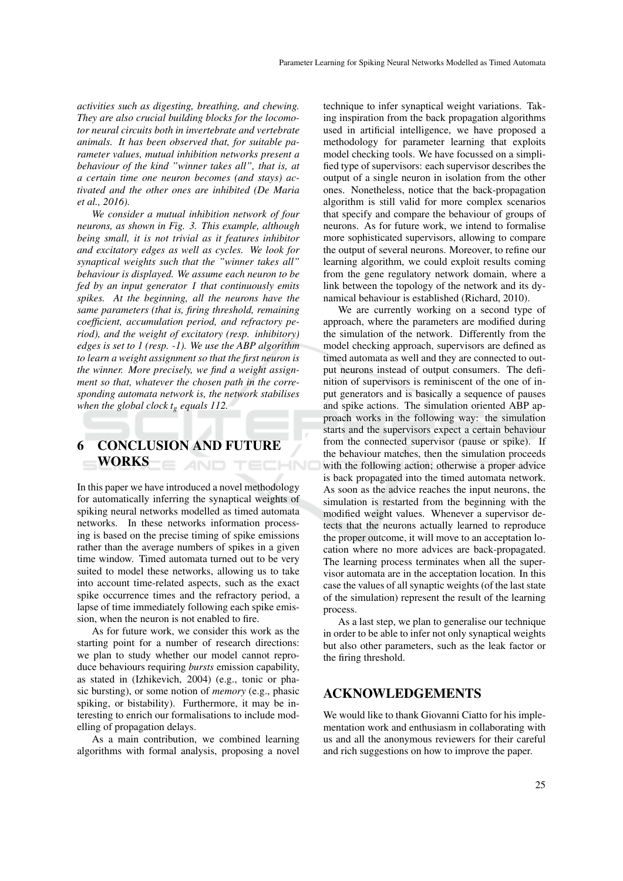*activities such as digesting, breathing, and chewing. They are also crucial building blocks for the locomotor neural circuits both in invertebrate and vertebrate animals. It has been observed that, for suitable parameter values, mutual inhibition networks present a behaviour of the kind "winner takes all", that is, at a certain time one neuron becomes (and stays) activated and the other ones are inhibited (De Maria et al., 2016).*

*We consider a mutual inhibition network of four neurons, as shown in Fig. 3. This example, although being small, it is not trivial as it features inhibitor and excitatory edges as well as cycles. We look for synaptical weights such that the "winner takes all" behaviour is displayed. We assume each neuron to be fed by an input generator I that continuously emits spikes. At the beginning, all the neurons have the same parameters (that is, firing threshold, remaining coefficient, accumulation period, and refractory period), and the weight of excitatory (resp. inhibitory) edges is set to 1 (resp. -1). We use the ABP algorithm to learn a weight assignment so that the first neuron is the winner. More precisely, we find a weight assignment so that, whatever the chosen path in the corresponding automata network is, the network stabilises when the global clock t<sup>g</sup> equals 112.*

#### 6 CONCLUSION AND FUTURE WORKS **E AND TECHNO**

In this paper we have introduced a novel methodology for automatically inferring the synaptical weights of spiking neural networks modelled as timed automata networks. In these networks information processing is based on the precise timing of spike emissions rather than the average numbers of spikes in a given time window. Timed automata turned out to be very suited to model these networks, allowing us to take into account time-related aspects, such as the exact spike occurrence times and the refractory period, a lapse of time immediately following each spike emission, when the neuron is not enabled to fire.

As for future work, we consider this work as the starting point for a number of research directions: we plan to study whether our model cannot reproduce behaviours requiring *bursts* emission capability, as stated in (Izhikevich, 2004) (e.g., tonic or phasic bursting), or some notion of *memory* (e.g., phasic spiking, or bistability). Furthermore, it may be interesting to enrich our formalisations to include modelling of propagation delays.

As a main contribution, we combined learning algorithms with formal analysis, proposing a novel

technique to infer synaptical weight variations. Taking inspiration from the back propagation algorithms used in artificial intelligence, we have proposed a methodology for parameter learning that exploits model checking tools. We have focussed on a simplified type of supervisors: each supervisor describes the output of a single neuron in isolation from the other ones. Nonetheless, notice that the back-propagation algorithm is still valid for more complex scenarios that specify and compare the behaviour of groups of neurons. As for future work, we intend to formalise more sophisticated supervisors, allowing to compare the output of several neurons. Moreover, to refine our learning algorithm, we could exploit results coming from the gene regulatory network domain, where a link between the topology of the network and its dynamical behaviour is established (Richard, 2010).

We are currently working on a second type of approach, where the parameters are modified during the simulation of the network. Differently from the model checking approach, supervisors are defined as timed automata as well and they are connected to output neurons instead of output consumers. The definition of supervisors is reminiscent of the one of input generators and is basically a sequence of pauses and spike actions. The simulation oriented ABP approach works in the following way: the simulation starts and the supervisors expect a certain behaviour from the connected supervisor (pause or spike). If the behaviour matches, then the simulation proceeds with the following action; otherwise a proper advice is back propagated into the timed automata network. As soon as the advice reaches the input neurons, the simulation is restarted from the beginning with the modified weight values. Whenever a supervisor detects that the neurons actually learned to reproduce the proper outcome, it will move to an acceptation location where no more advices are back-propagated. The learning process terminates when all the supervisor automata are in the acceptation location. In this case the values of all synaptic weights (of the last state of the simulation) represent the result of the learning process.

As a last step, we plan to generalise our technique in order to be able to infer not only synaptical weights but also other parameters, such as the leak factor or the firing threshold.

## ACKNOWLEDGEMENTS

We would like to thank Giovanni Ciatto for his implementation work and enthusiasm in collaborating with us and all the anonymous reviewers for their careful and rich suggestions on how to improve the paper.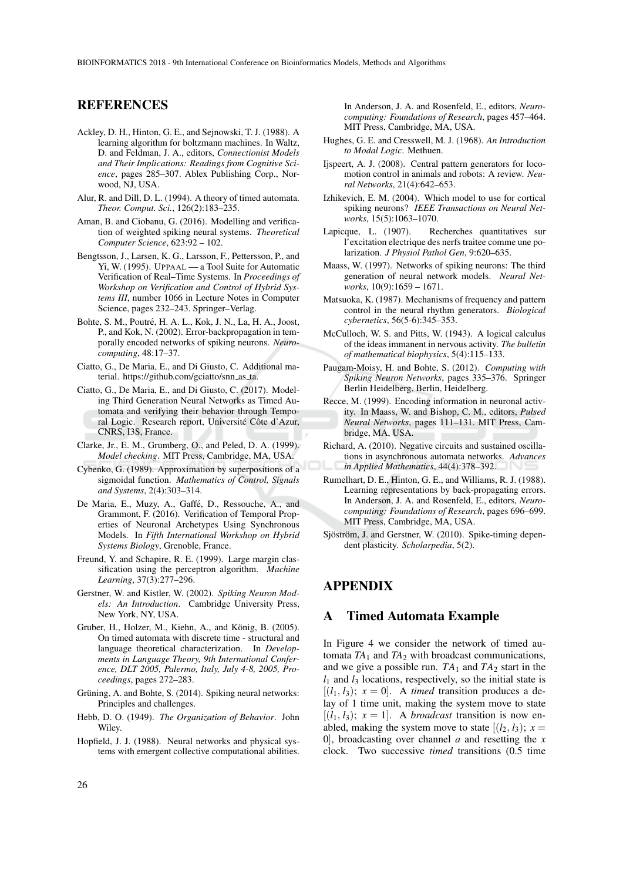### REFERENCES

- Ackley, D. H., Hinton, G. E., and Sejnowski, T. J. (1988). A learning algorithm for boltzmann machines. In Waltz, D. and Feldman, J. A., editors, *Connectionist Models and Their Implications: Readings from Cognitive Science*, pages 285–307. Ablex Publishing Corp., Norwood, NJ, USA.
- Alur, R. and Dill, D. L. (1994). A theory of timed automata. *Theor. Comput. Sci.*, 126(2):183–235.
- Aman, B. and Ciobanu, G. (2016). Modelling and verification of weighted spiking neural systems. *Theoretical Computer Science*, 623:92 – 102.
- Bengtsson, J., Larsen, K. G., Larsson, F., Pettersson, P., and Yi, W. (1995). UPPAAL — a Tool Suite for Automatic Verification of Real–Time Systems. In *Proceedings of Workshop on Verification and Control of Hybrid Systems III*, number 1066 in Lecture Notes in Computer Science, pages 232–243. Springer–Verlag.
- Bohte, S. M., Poutré, H. A. L., Kok, J. N., La, H. A., Joost, P., and Kok, N. (2002). Error-backpropagation in temporally encoded networks of spiking neurons. *Neurocomputing*, 48:17–37.
- Ciatto, G., De Maria, E., and Di Giusto, C. Additional material. https://github.com/gciatto/snn as ta.
- Ciatto, G., De Maria, E., and Di Giusto, C. (2017). Modeling Third Generation Neural Networks as Timed Automata and verifying their behavior through Temporal Logic. Research report, Université Côte d'Azur, CNRS, I3S, France.
- Clarke, Jr., E. M., Grumberg, O., and Peled, D. A. (1999). *Model checking*. MIT Press, Cambridge, MA, USA.
- Cybenko, G. (1989). Approximation by superpositions of a sigmoidal function. *Mathematics of Control, Signals and Systems*, 2(4):303–314.
- De Maria, E., Muzy, A., Gaffé, D., Ressouche, A., and Grammont, F. (2016). Verification of Temporal Properties of Neuronal Archetypes Using Synchronous Models. In *Fifth International Workshop on Hybrid Systems Biology*, Grenoble, France.
- Freund, Y. and Schapire, R. E. (1999). Large margin classification using the perceptron algorithm. *Machine Learning*, 37(3):277–296.
- Gerstner, W. and Kistler, W. (2002). *Spiking Neuron Models: An Introduction*. Cambridge University Press, New York, NY, USA.
- Gruber, H., Holzer, M., Kiehn, A., and König, B. (2005). On timed automata with discrete time - structural and language theoretical characterization. In *Developments in Language Theory, 9th International Conference, DLT 2005, Palermo, Italy, July 4-8, 2005, Proceedings*, pages 272–283.
- Grüning, A. and Bohte, S. (2014). Spiking neural networks: Principles and challenges.
- Hebb, D. O. (1949). *The Organization of Behavior*. John Wiley.
- Hopfield, J. J. (1988). Neural networks and physical systems with emergent collective computational abilities.

In Anderson, J. A. and Rosenfeld, E., editors, *Neurocomputing: Foundations of Research*, pages 457–464. MIT Press, Cambridge, MA, USA.

- Hughes, G. E. and Cresswell, M. J. (1968). *An Introduction to Modal Logic*. Methuen.
- Ijspeert, A. J. (2008). Central pattern generators for locomotion control in animals and robots: A review. *Neural Networks*, 21(4):642–653.
- Izhikevich, E. M. (2004). Which model to use for cortical spiking neurons? *IEEE Transactions on Neural Networks*, 15(5):1063–1070.
- Lapicque, L. (1907). Recherches quantitatives sur l'excitation electrique des nerfs traitee comme une polarization. *J Physiol Pathol Gen*, 9:620–635.
- Maass, W. (1997). Networks of spiking neurons: The third generation of neural network models. *Neural Networks*, 10(9):1659 – 1671.
- Matsuoka, K. (1987). Mechanisms of frequency and pattern control in the neural rhythm generators. *Biological cybernetics*, 56(5-6):345–353.
- McCulloch, W. S. and Pitts, W. (1943). A logical calculus of the ideas immanent in nervous activity. *The bulletin of mathematical biophysics*, 5(4):115–133.
- Paugam-Moisy, H. and Bohte, S. (2012). *Computing with Spiking Neuron Networks*, pages 335–376. Springer Berlin Heidelberg, Berlin, Heidelberg.
- Recce, M. (1999). Encoding information in neuronal activity. In Maass, W. and Bishop, C. M., editors, *Pulsed Neural Networks*, pages 111–131. MIT Press, Cambridge, MA, USA.
- Richard, A. (2010). Negative circuits and sustained oscillations in asynchronous automata networks. *Advances in Applied Mathematics*, 44(4):378–392.
- Rumelhart, D. E., Hinton, G. E., and Williams, R. J. (1988). Learning representations by back-propagating errors. In Anderson, J. A. and Rosenfeld, E., editors, *Neurocomputing: Foundations of Research*, pages 696–699. MIT Press, Cambridge, MA, USA.
- $\overline{\text{Siöström}}$ , J. and Gerstner, W. (2010). Spike-timing dependent plasticity. *Scholarpedia*, 5(2).

#### APPENDIX

#### A Timed Automata Example

In Figure 4 we consider the network of timed automata  $TA_1$  and  $TA_2$  with broadcast communications, and we give a possible run. *TA*<sup>1</sup> and *TA*<sup>2</sup> start in the *l*<sup>1</sup> and *l*<sup>3</sup> locations, respectively, so the initial state is  $[(l_1, l_3); x = 0]$ . A *timed* transition produces a delay of 1 time unit, making the system move to state  $[(l_1, l_3); x = 1]$ . A *broadcast* transition is now enabled, making the system move to state  $[(l_2, l_3); x =$ 0], broadcasting over channel *a* and resetting the *x* clock. Two successive *timed* transitions (0.5 time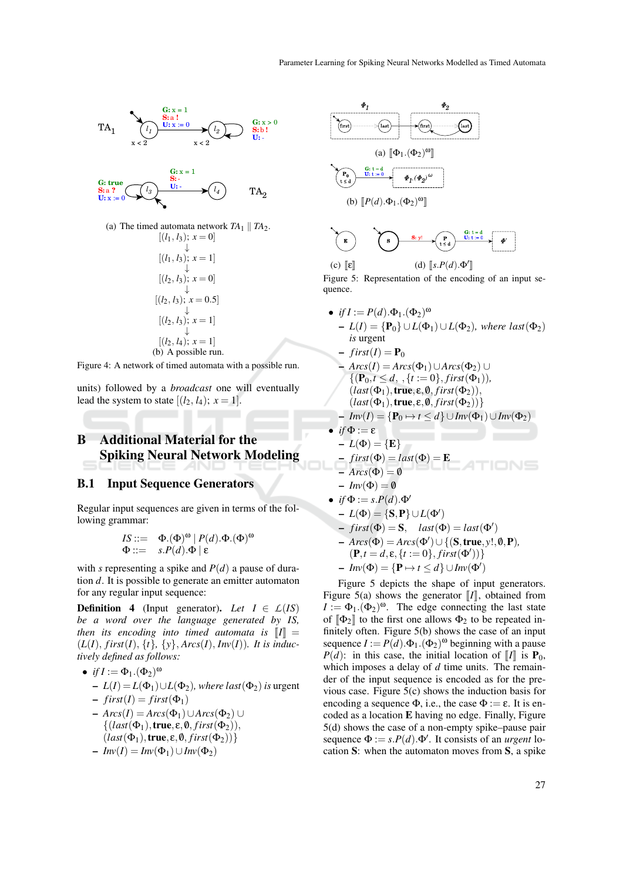

Figure 4: A network of timed automata with a possible run.

units) followed by a *broadcast* one will eventually lead the system to state  $[(l_2, l_4); x = 1]$ .

# B Additional Material for the Spiking Neural Network Modeling

#### B.1 Input Sequence Generators

Regular input sequences are given in terms of the following grammar:

$$
IS ::= \Phi.(\Phi)^{\omega} | P(d). \Phi.(\Phi)^{\omega}
$$
  

$$
\Phi ::= s.P(d). \Phi | \epsilon
$$

with *s* representing a spike and  $P(d)$  a pause of duration *d*. It is possible to generate an emitter automaton for any regular input sequence:

**Definition 4** (Input generator). *Let*  $I \in L(IS)$ *be a word over the language generated by IS, then its encoding into timed automata is*  $\llbracket I \rrbracket =$  $(L(I), first(I), \{t\}, \{y\}, Arcs(I), Inv(I)).$  *It is inductively defined as follows:*

• if 
$$
I := \Phi_1 \cdot (\Phi_2)^{\omega}
$$
  
\n•  $I(I) = L(\Phi_1) \cup L(\Phi_2)$ , where last  $(\Phi_2)$  is urgent  
\n- first  $(I) = first(\Phi_1)$   
\n-  $Arcs(I) = Arcs(\Phi_1) \cup Arcs(\Phi_2) \cup$   
\n{ $(last(\Phi_1), true, \varepsilon, 0, first(\Phi_2))$ ,

$$
(\text{last}(\Phi_1), \text{true}, \varepsilon, \emptyset, \text{first}(\Phi_2))\} - \text{Inv}(I) = \text{Inv}(\Phi_1) \cup \text{Inv}(\Phi_2)
$$





(c)  $\llbracket \varepsilon \rrbracket$  (d)  $\llbracket s.P(d).\Phi' \rrbracket$ 

Figure 5: Representation of the encoding of an input sequence.

- *if*  $I := P(d) \cdot \Phi_1 \cdot (\Phi_2)^{\omega}$  $- L(I) = {P_0} ∪ ∪L(Φ_1) ∪ L(Φ_2)$ *, where last*( $Φ_2$ ) *is* urgent
	- $-$  *first*(*I*) =  $P_0$

- Arcs(I) = Arcs(\Phi<sub>1</sub>) 
$$
\cup
$$
 Arcs(\Phi<sub>2</sub>)  $\cup$   
\n $\{(\mathbf{P}_0, t \leq d, \{t := 0\}, \text{first}(\Phi_1)),$   
\n( $\text{last}(\Phi_1), \text{true}, \varepsilon, \emptyset, \text{first}(\Phi_2)),$   
\n( $\text{last}(\Phi_1), \text{true}, \varepsilon, \emptyset, \text{first}(\Phi_2)\}$ )  
\n- Inv(I) =  $\{\mathbf{P}_0 \mapsto t \leq d\} \cup Inv(\Phi_1) \cup$ 

$$
- Inv(I) = \{ \mathbf{P}_0 \mapsto t \leq d \} \cup Inv(\Phi_1) \cup Inv(\Phi_2)
$$

• *if*  $\Phi := \varepsilon$ 

$$
- L(\Phi) = \{ \mathbf{E} \}
$$

$$
first(\Phi) = last(\Phi) = E
$$
  
Area( $\Phi$ ) = 0

$$
- \frac{A}{L} \left( \frac{\Phi}{L} \right) - \Phi
$$

- $Inv(\Phi) = \emptyset$ • *if*  $\Phi := s.P(d).\Phi'$ 
	-
	- $-L(\Phi) = \{S, P\} \cup L(\Phi')$  $-$  *first*( $\Phi$ ) = **S**, *last*( $\Phi$ ) = *last*( $\Phi'$ )

$$
- Arcs(\Phi) = Arcs(\Phi') \cup \{ (S, true, y!, \emptyset, P),
$$

- $(\mathbf{P}, t = d, \varepsilon, \{t := 0\}, \text{first}(\Phi'))\}$
- $-Inv(\Phi) = {\{P \mapsto t \leq d\} \cup Inv(\Phi')}$

Figure 5 depicts the shape of input generators. Figure 5(a) shows the generator  $\llbracket I \rrbracket$ , obtained from  $I := \Phi_1 \cdot (\Phi_2)^{\omega}$ . The edge connecting the last state of  $\llbracket \Phi_2 \rrbracket$  to the first one allows  $\Phi_2$  to be repeated infinitely often. Figure 5(b) shows the case of an input sequence  $I := P(d) \cdot \Phi_1 \cdot (\Phi_2)^\omega$  beginning with a pause *P*(*d*): in this case, the initial location of  $\llbracket I \rrbracket$  is **P**<sub>0</sub>, which imposes a delay of *d* time units. The remainder of the input sequence is encoded as for the previous case. Figure 5(c) shows the induction basis for encoding a sequence  $\Phi$ , i.e., the case  $\Phi := \varepsilon$ . It is encoded as a location E having no edge. Finally, Figure 5(d) shows the case of a non-empty spike–pause pair sequence  $\Phi := s.P(d). \Phi'$ . It consists of an *urgent* location S: when the automaton moves from S, a spike